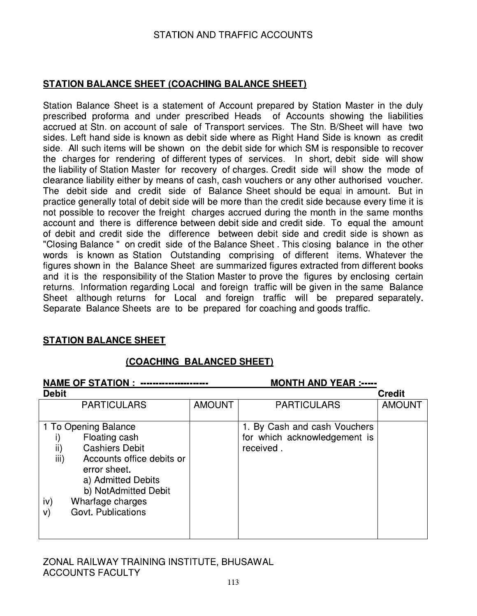## **STATION BALANCE SHEET (COACHING BALANCE SHEET)**

Station Balance Sheet is a statement of Account prepared by Station Master in the duly prescribed proforma and under prescribed Heads of Accounts showing the liabilities accrued at Stn. on account of sale of Transport services. The Stn. B/Sheet will have two sides. Left hand side is known as debit side where as Right Hand Side is known as credit side. All such items will be shown on the debit side for which SM is responsible to recover the charges for rendering of different types of services. In short, debit side will show the liability of Station Master for recovery of charges. Credit side will show the mode of clearance liability either by means of cash, cash vouchers or any other authorised voucher. The debit side and credit side of Balance Sheet should be equal in amount. But in practice generally total of debit side will be more than the credit side because every time it is not possible to recover the freight charges accrued during the month in the same months account and there is difference between debit side and credit side. To equal the amount of debit and credit side the difference between debit side and credit side is shown as "Closing Balance" on credit side of the Balance Sheet. This closing balance in the other words is known as Station Outstanding comprising of different items. Whatever the figures shown in the Balance Sheet are summarized figures extracted from different books and it is the responsibility of the Station Master to prove the figures by enclosing certain returns. Information regarding Local and foreign traffic will be given in the same Balance Sheet although returns for Local and foreign traffic will be prepared separately. Separate Balance Sheets are to be prepared for coaching and goods traffic.

### **STATION BALANCE SHEET**

### (COACHING BALANCED SHEET)

| <b>NAME OF STATION :</b>                                                                                                                                                                                                        |               | <b>MONTH AND YEAR :-----</b>                                              |               |
|---------------------------------------------------------------------------------------------------------------------------------------------------------------------------------------------------------------------------------|---------------|---------------------------------------------------------------------------|---------------|
| <b>Debit</b>                                                                                                                                                                                                                    |               |                                                                           | <b>Credit</b> |
| <b>PARTICULARS</b>                                                                                                                                                                                                              | <b>AMOUNT</b> | <b>PARTICULARS</b>                                                        | <b>AMOUNT</b> |
| 1 To Opening Balance<br>Floating cash<br>ii)<br><b>Cashiers Debit</b><br>iii)<br>Accounts office debits or<br>error sheet.<br>a) Admitted Debits<br>b) NotAdmitted Debit<br>Wharfage charges<br>iv)<br>Govt. Publications<br>V) |               | 1. By Cash and cash Vouchers<br>for which acknowledgement is<br>received. |               |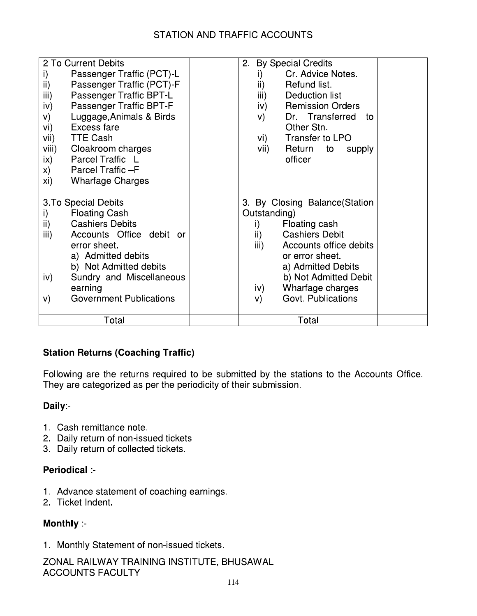| 2 To Current Debits                       | 2. By Special Credits                         |
|-------------------------------------------|-----------------------------------------------|
| Passenger Traffic (PCT)-L<br>i)           | Cr. Advice Notes.<br>i)                       |
| ii)<br>Passenger Traffic (PCT)-F          | ii)<br>Refund list.                           |
| iii)<br>Passenger Traffic BPT-L           | $\overline{\mathsf{iii}}$ )<br>Deduction list |
| Passenger Traffic BPT-F<br>iv)            | <b>Remission Orders</b><br>iv) —              |
| Luggage, Animals & Birds<br>V)            | Dr. Transferred<br>V)<br>- to                 |
| Excess fare<br>vi)                        | Other Stn.                                    |
| <b>TTE Cash</b><br>vii)                   | Transfer to LPO<br>vi) —                      |
| viii)<br>Cloakroom charges                | vii)<br>Return to<br>supply                   |
| Parcel Traffic-L<br>ix)                   | officer                                       |
| Parcel Traffic-F<br>X)                    |                                               |
| xi)<br><b>Wharfage Charges</b>            |                                               |
|                                           |                                               |
| 3. To Special Debits                      | 3. By Closing Balance (Station                |
| <b>Floating Cash</b><br>i)                | Outstanding)                                  |
| $\mathsf{ii}$ )<br><b>Cashiers Debits</b> | Floating cash<br>i)                           |
| Accounts Office debit or<br>iii)          | <b>Cashiers Debit</b><br>ii)                  |
| error sheet.                              | iii)<br>Accounts office debits                |
| a) Admitted debits                        | or error sheet.                               |
| b) Not Admitted debits                    | a) Admitted Debits                            |
| Sundry and Miscellaneous<br>iv)           | b) Not Admitted Debit                         |
| earning                                   | Wharfage charges<br>iv)                       |
| <b>Government Publications</b><br>V)      | Govt. Publications<br>V)                      |
|                                           |                                               |
| Total                                     | Total                                         |

# **Station Returns (Coaching Traffic)**

Following are the returns required to be submitted by the stations to the Accounts Office. They are categorized as per the periodicity of their submission.

# Daily:-

- 1. Cash remittance note.
- 2. Daily return of non-issued tickets
- 3. Daily return of collected tickets.

# Periodical :-

- 1. Advance statement of coaching earnings.
- 2. Ticket Indent.

# Monthly :-

1. Monthly Statement of non-issued tickets.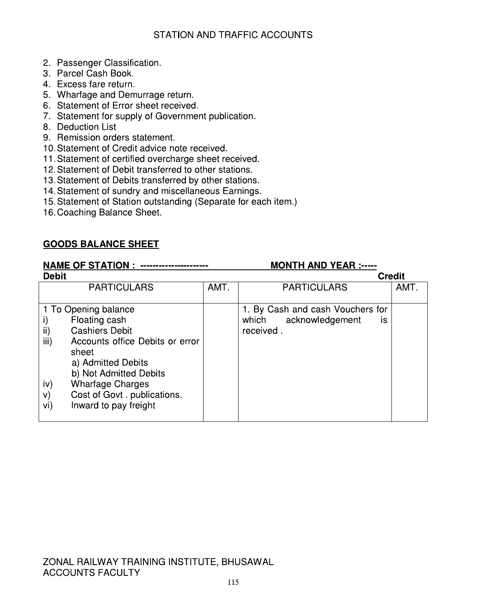- 2. Passenger Classification.
- 3. Parcel Cash Book.
- 4. Excess fare return.
- 5. Wharfage and Demurrage return.
- 6. Statement of Error sheet received.
- 7. Statement for supply of Government publication.
- 8. Deduction List
- 9. Remission orders statement.
- 10. Statement of Credit advice note received.
- 11. Statement of certified overcharge sheet received.
- 12. Statement of Debit transferred to other stations.
- 13. Statement of Debits transferred by other stations.
- 14. Statement of sundry and miscellaneous Earnings.
- 15. Statement of Station outstanding (Separate for each item.)
- 16. Coaching Balance Sheet.

# **GOODS BALANCE SHEET**

# 

| <b>Debit</b>                                 |      | <b>Credit</b>                    |      |
|----------------------------------------------|------|----------------------------------|------|
| <b>PARTICULARS</b>                           | AMT. | <b>PARTICULARS</b>               | AMT. |
|                                              |      |                                  |      |
| 1 To Opening balance                         |      | 1. By Cash and cash Vouchers for |      |
| Floating cash                                |      | which acknowledgement<br>İS      |      |
| ii)<br><b>Cashiers Debit</b>                 |      | received.                        |      |
| iii)<br>Accounts office Debits or error      |      |                                  |      |
| sheet                                        |      |                                  |      |
| a) Admitted Debits                           |      |                                  |      |
| b) Not Admitted Debits                       |      |                                  |      |
| <b>Wharfage Charges</b><br>iv)               |      |                                  |      |
| Cost of Govt. publications.<br>$\mathsf{v})$ |      |                                  |      |
| vi)<br>Inward to pay freight                 |      |                                  |      |
|                                              |      |                                  |      |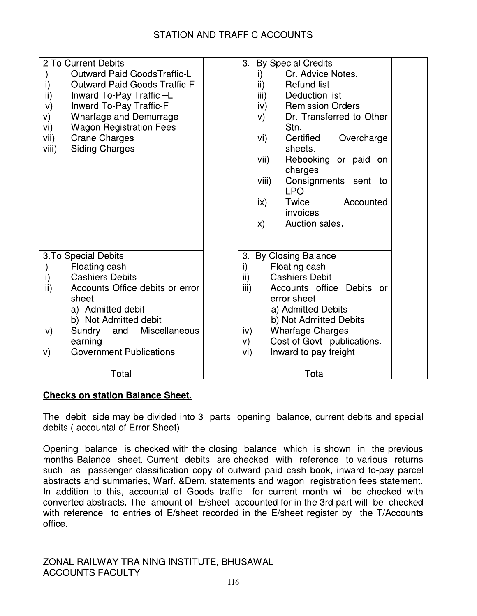| 2 To Current Debits                        | <b>By Special Credits</b><br>3.          |
|--------------------------------------------|------------------------------------------|
| <b>Outward Paid GoodsTraffic-L</b><br>i)   | Cr. Advice Notes.<br>i)                  |
| ii)<br><b>Outward Paid Goods Traffic-F</b> | ii)<br>Refund list.                      |
| iii)<br>Inward To-Pay Traffic -L           | iii)<br>Deduction list                   |
| iv)<br><b>Inward To-Pay Traffic-F</b>      | <b>Remission Orders</b><br>iv)           |
| Wharfage and Demurrage<br>V)               | Dr. Transferred to Other<br>V)           |
| <b>Wagon Registration Fees</b><br>vi)      | Stn.                                     |
| <b>Crane Charges</b><br>vii)               | Certified<br>Overcharge<br>vi)           |
| <b>Siding Charges</b><br>viii)             | sheets.                                  |
|                                            | vii)<br>Rebooking or paid on             |
|                                            | charges.                                 |
|                                            | Consignments sent to<br>viii)            |
|                                            | <b>LPO</b>                               |
|                                            | Twice<br>$\mathsf{ix}$<br>Accounted      |
|                                            | invoices                                 |
|                                            | Auction sales.<br>$\mathsf{x}$           |
|                                            |                                          |
|                                            |                                          |
| 3. To Special Debits                       | <b>By Closing Balance</b><br>3.          |
| Floating cash<br>i)                        | i)<br>Floating cash                      |
| <b>Cashiers Debits</b><br>ii)              | $\mathsf{ii}$ )<br><b>Cashiers Debit</b> |
| iii)<br>Accounts Office debits or error    | Accounts office Debits or<br>iii)        |
| sheet.                                     | error sheet                              |
| a) Admitted debit                          | a) Admitted Debits                       |
| b) Not Admitted debit                      | b) Not Admitted Debits                   |
| Miscellaneous<br>Sundry<br>and<br>iv)      | <b>Wharfage Charges</b><br>iv)           |
| earning                                    | Cost of Govt. publications.<br>V).       |
| <b>Government Publications</b><br>V)       | Inward to pay freight<br>vi)             |
|                                            |                                          |
| Total                                      | Total                                    |

# **Checks on station Balance Sheet.**

The debit side may be divided into 3 parts opening balance, current debits and special debits (accountal of Error Sheet).

Opening balance is checked with the closing balance which is shown in the previous months Balance sheet. Current debits are checked with reference to various returns such as passenger classification copy of outward paid cash book, inward to-pay parcel abstracts and summaries, Warf. & Dem. statements and wagon registration fees statement. In addition to this, accountal of Goods traffic for current month will be checked with converted abstracts. The amount of E/sheet accounted for in the 3rd part will be checked with reference to entries of E/sheet recorded in the E/sheet register by the T/Accounts office.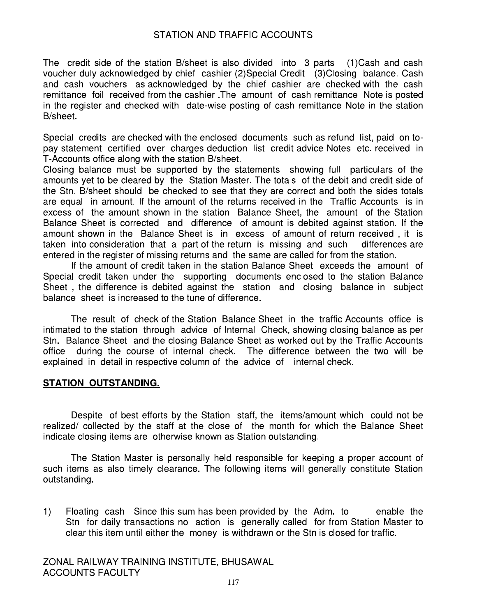The credit side of the station B/sheet is also divided into 3 parts (1)Cash and cash voucher duly acknowledged by chief cashier (2)Special Credit (3)Closing balance. Cash and cash vouchers as acknowledged by the chief cashier are checked with the cash remittance foil received from the cashier. The amount of cash remittance Note is posted in the register and checked with date-wise posting of cash remittance Note in the station B/sheet.

Special credits are checked with the enclosed documents such as refund list, paid on topay statement certified over charges deduction list credit advice Notes etc. received in T-Accounts office along with the station B/sheet.

Closing balance must be supported by the statements showing full particulars of the amounts yet to be cleared by the Station Master. The totals of the debit and credit side of the Stn. B/sheet should be checked to see that they are correct and both the sides totals are equal in amount. If the amount of the returns received in the Traffic Accounts is in excess of the amount shown in the station Balance Sheet, the amount of the Station Balance Sheet is corrected and difference of amount is debited against station. If the amount shown in the Balance Sheet is in excess of amount of return received, it is taken into consideration that a part of the return is missing and such differences are entered in the register of missing returns and the same are called for from the station.

If the amount of credit taken in the station Balance Sheet exceeds the amount of Special credit taken under the supporting documents enclosed to the station Balance Sheet, the difference is debited against the station and closing balance in subject balance sheet is increased to the tune of difference.

The result of check of the Station Balance Sheet in the traffic Accounts office is intimated to the station through advice of Internal Check, showing closing balance as per Stn. Balance Sheet and the closing Balance Sheet as worked out by the Traffic Accounts office during the course of internal check. The difference between the two will be explained in detail in respective column of the advice of internal check.

### **STATION OUTSTANDING.**

Despite of best efforts by the Station staff, the items/amount which could not be realized/ collected by the staff at the close of the month for which the Balance Sheet indicate closing items are otherwise known as Station outstanding.

The Station Master is personally held responsible for keeping a proper account of such items as also timely clearance. The following items will generally constitute Station outstanding.

 $1)$ Floating cash -Since this sum has been provided by the Adm. to enable the Stn for daily transactions no action is generally called for from Station Master to clear this item until either the money is withdrawn or the Stn is closed for traffic.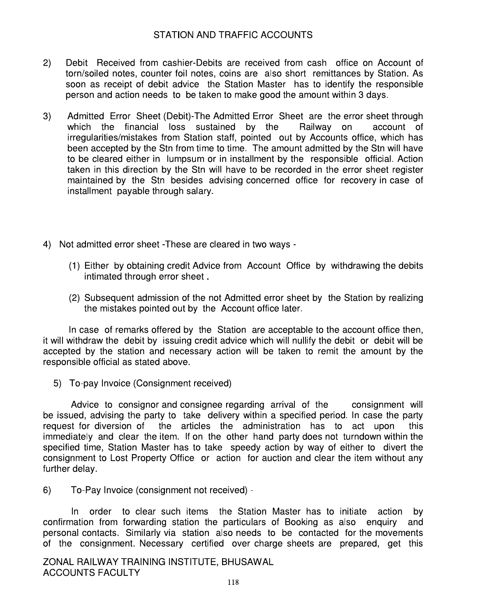- $2)$ Debit Received from cashier-Debits are received from cash office on Account of torn/soiled notes, counter foil notes, coins are also short remittances by Station. As soon as receipt of debit advice the Station Master has to identify the responsible person and action needs to be taken to make good the amount within 3 days.
- Admitted Error Sheet (Debit)-The Admitted Error Sheet are the error sheet through  $3)$ which the financial loss sustained by the Railway on account of irregularities/mistakes from Station staff, pointed out by Accounts office, which has been accepted by the Stn from time to time. The amount admitted by the Stn will have to be cleared either in lumpsum or in installment by the responsible official. Action taken in this direction by the Stn will have to be recorded in the error sheet register maintained by the Stn besides advising concerned office for recovery in case of installment payable through salary.
- 4) Not admitted error sheet These are cleared in two ways -
	- (1) Either by obtaining credit Advice from Account Office by withdrawing the debits intimated through error sheet.
	- (2) Subsequent admission of the not Admitted error sheet by the Station by realizing the mistakes pointed out by the Account office later.

In case of remarks offered by the Station are acceptable to the account office then, it will withdraw the debit by issuing credit advice which will nullify the debit or debit will be accepted by the station and necessary action will be taken to remit the amount by the responsible official as stated above.

5) To-pay Invoice (Consignment received)

Advice to consignor and consignee regarding arrival of the consignment will be issued, advising the party to take delivery within a specified period. In case the party request for diversion of the articles the administration has to act upon this immediately and clear the item. If on the other hand party does not turndown within the specified time. Station Master has to take speedy action by way of either to divert the consignment to Lost Property Office or action for auction and clear the item without any further delav.

 $6)$ To-Pay Invoice (consignment not received) -

In order to clear such items the Station Master has to initiate action bv confirmation from forwarding station the particulars of Booking as also enquiry and personal contacts. Similarly via station also needs to be contacted for the movements of the consignment. Necessary certified over charge sheets are prepared, get this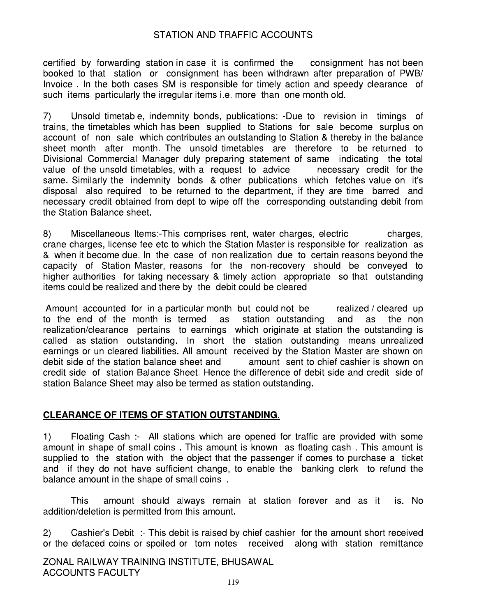certified by forwarding station in case it is confirmed the consignment has not been booked to that station or consignment has been withdrawn after preparation of PWB/ Invoice. In the both cases SM is responsible for timely action and speedy clearance of such items particularly the irregular items i.e. more than one month old.

Unsold timetable, indemnity bonds, publications: -Due to revision in timings of  $7)$ trains, the timetables which has been supplied to Stations for sale become surplus on account of non sale which contributes an outstanding to Station & thereby in the balance sheet month after month. The unsold timetables are therefore to be returned to Divisional Commercial Manager duly preparing statement of same indicating the total value of the unsold timetables, with a request to advice necessary credit for the same. Similarly the indemnity bonds & other publications which fetches value on it's disposal also required to be returned to the department, if they are time barred and necessary credit obtained from dept to wipe off the corresponding outstanding debit from the Station Balance sheet.

 $8)$ Miscellaneous Items:-This comprises rent, water charges, electric charges, crane charges, license fee etc to which the Station Master is responsible for realization as & when it become due. In the case of non realization due to certain reasons beyond the capacity of Station Master, reasons for the non-recovery should be conveyed to higher authorities for taking necessary & timely action appropriate so that outstanding items could be realized and there by the debit could be cleared

Amount accounted for in a particular month but could not be realized / cleared up to the end of the month is termed station outstanding as and as the non realization/clearance pertains to earnings which originate at station the outstanding is called as station outstanding. In short the station outstanding means unrealized earnings or un cleared liabilities. All amount received by the Station Master are shown on debit side of the station balance sheet and amount sent to chief cashier is shown on credit side of station Balance Sheet. Hence the difference of debit side and credit side of station Balance Sheet may also be termed as station outstanding.

### CLEARANCE OF ITEMS OF STATION OUTSTANDING.

Floating Cash :- All stations which are opened for traffic are provided with some  $1)$ amount in shape of small coins. This amount is known as floating cash. This amount is supplied to the station with the object that the passenger if comes to purchase a ticket and if they do not have sufficient change, to enable the banking clerk to refund the balance amount in the shape of small coins.

amount should always remain at station forever and as it is. No **This** addition/deletion is permitted from this amount.

Cashier's Debit :- This debit is raised by chief cashier for the amount short received  $2)$ or the defaced coins or spoiled or torn notes received along with station remittance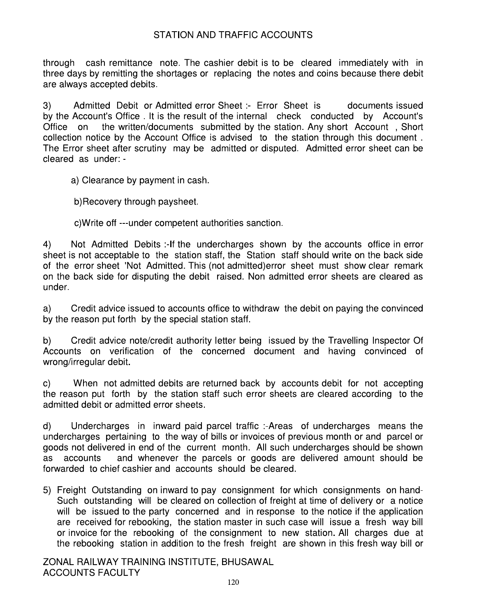through cash remittance note. The cashier debit is to be cleared immediately with in three days by remitting the shortages or replacing the notes and coins because there debit are always accepted debits.

Admitted Debit or Admitted error Sheet: Error Sheet is documents issued 3) by the Account's Office. It is the result of the internal check conducted by Account's the written/documents submitted by the station. Any short Account, Short Office on collection notice by the Account Office is advised to the station through this document. The Error sheet after scrutiny may be admitted or disputed. Admitted error sheet can be cleared as under: -

a) Clearance by payment in cash.

b)Recovery through paysheet.

c) Write off ---under competent authorities sanction.

 $4)$ Not Admitted Debits :- If the undercharges shown by the accounts office in error sheet is not acceptable to the station staff, the Station staff should write on the back side of the error sheet 'Not Admitted. This (not admitted) error sheet must show clear remark on the back side for disputing the debit raised. Non admitted error sheets are cleared as under.

Credit advice issued to accounts office to withdraw the debit on paying the convinced a) by the reason put forth by the special station staff.

Credit advice note/credit authority letter being issued by the Travelling Inspector Of b) Accounts on verification of the concerned document and having convinced of wrong/irregular debit.

When not admitted debits are returned back by accounts debit for not accepting C) the reason put forth by the station staff such error sheets are cleared according to the admitted debit or admitted error sheets.

d) Undercharges in inward paid parcel traffic :-Areas of undercharges means the undercharges pertaining to the way of bills or invoices of previous month or and parcel or goods not delivered in end of the current month. All such undercharges should be shown and whenever the parcels or goods are delivered amount should be as accounts forwarded to chief cashier and accounts should be cleared.

5) Freight Outstanding on inward to pay consignment for which consignments on hand-Such outstanding will be cleared on collection of freight at time of delivery or a notice will be issued to the party concerned and in response to the notice if the application are received for rebooking, the station master in such case will issue a fresh way bill or invoice for the rebooking of the consignment to new station. All charges due at the rebooking station in addition to the fresh freight are shown in this fresh way bill or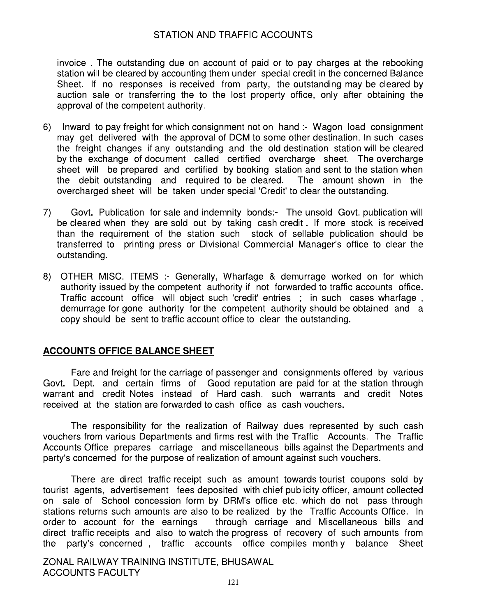invoice. The outstanding due on account of paid or to pay charges at the rebooking station will be cleared by accounting them under special credit in the concerned Balance Sheet. If no responses is received from party, the outstanding may be cleared by auction sale or transferring the to the lost property office, only after obtaining the approval of the competent authority.

- 6) Inward to pay freight for which consignment not on hand :- Wagon load consignment may get delivered with the approval of DCM to some other destination. In such cases the freight changes if any outstanding and the old destination station will be cleared by the exchange of document called certified overcharge sheet. The overcharge sheet will be prepared and certified by booking station and sent to the station when the debit outstanding and required to be cleared. The amount shown in the overcharged sheet will be taken under special 'Credit' to clear the outstanding.
- Govt. Publication for sale and indemnity bonds:- The unsold Govt. publication will 7) be cleared when they are sold out by taking cash credit. If more stock is received than the requirement of the station such stock of sellable publication should be transferred to printing press or Divisional Commercial Manager's office to clear the outstanding.
- 8) OTHER MISC. ITEMS :- Generally, Wharfage & demurrage worked on for which authority issued by the competent authority if not forwarded to traffic accounts office. Traffic account office will object such 'credit' entries ; in such cases wharfage, demurrage for gone authority for the competent authority should be obtained and a copy should be sent to traffic account office to clear the outstanding.

### **ACCOUNTS OFFICE BALANCE SHEET**

Fare and freight for the carriage of passenger and consignments offered by various Govt. Dept. and certain firms of Good reputation are paid for at the station through warrant and credit Notes instead of Hard cash. such warrants and credit Notes received at the station are forwarded to cash office as cash vouchers.

The responsibility for the realization of Railway dues represented by such cash vouchers from various Departments and firms rest with the Traffic Accounts. The Traffic Accounts Office prepares carriage and miscellaneous bills against the Departments and party's concerned for the purpose of realization of amount against such vouchers.

There are direct traffic receipt such as amount towards tourist coupons sold by tourist agents, advertisement fees deposited with chief publicity officer, amount collected on sale of School concession form by DRM's office etc. which do not pass through stations returns such amounts are also to be realized by the Traffic Accounts Office. In order to account for the earnings through carriage and Miscellaneous bills and direct traffic receipts and also to watch the progress of recovery of such amounts from party's concerned, traffic accounts office compiles monthly balance Sheet the